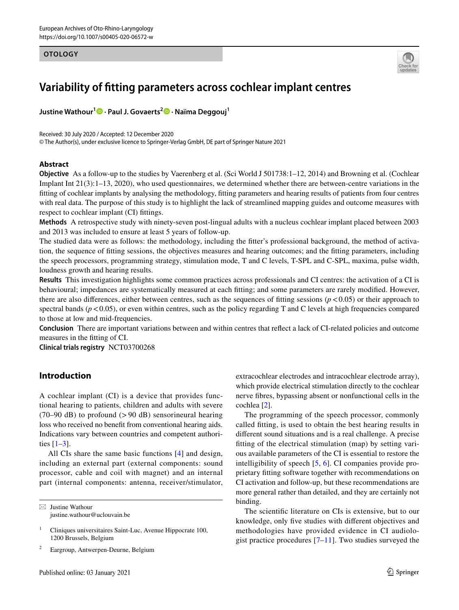### **OTOLOGY**



# **Variability of ftting parameters across cochlear implant centres**

**Justine Wathour[1](http://orcid.org/0000-0002-2048-8053) · Paul J. Govaerts<sup>2</sup> · Naïma Deggouj1**

Received: 30 July 2020 / Accepted: 12 December 2020

© The Author(s), under exclusive licence to Springer-Verlag GmbH, DE part of Springer Nature 2021

# **Abstract**

**Objective** As a follow-up to the studies by Vaerenberg et al. (Sci World J 501738:1–12, 2014) and Browning et al. (Cochlear Implant Int 21(3):1–13, 2020), who used questionnaires, we determined whether there are between-centre variations in the ftting of cochlear implants by analysing the methodology, ftting parameters and hearing results of patients from four centres with real data. The purpose of this study is to highlight the lack of streamlined mapping guides and outcome measures with respect to cochlear implant (CI) fttings.

**Methods** A retrospective study with ninety-seven post-lingual adults with a nucleus cochlear implant placed between 2003 and 2013 was included to ensure at least 5 years of follow-up.

The studied data were as follows: the methodology, including the ftter's professional background, the method of activation, the sequence of ftting sessions, the objectives measures and hearing outcomes; and the ftting parameters, including the speech processors, programming strategy, stimulation mode, T and C levels, T-SPL and C-SPL, maxima, pulse width, loudness growth and hearing results.

**Results** This investigation highlights some common practices across professionals and CI centres: the activation of a CI is behavioural; impedances are systematically measured at each ftting; and some parameters are rarely modifed. However, there are also differences, either between centres, such as the sequences of fitting sessions  $(p < 0.05)$  or their approach to spectral bands ( $p < 0.05$ ), or even within centres, such as the policy regarding T and C levels at high frequencies compared to those at low and mid-frequencies.

**Conclusion** There are important variations between and within centres that refect a lack of CI-related policies and outcome measures in the ftting of CI.

**Clinical trials registry** NCT03700268

# **Introduction**

A cochlear implant (CI) is a device that provides functional hearing to patients, children and adults with severe  $(70-90 \text{ dB})$  to profound  $(>90 \text{ dB})$  sensorineural hearing loss who received no beneft from conventional hearing aids. Indications vary between countries and competent authorities  $[1-3]$  $[1-3]$  $[1-3]$ .

All CIs share the same basic functions [[4](#page-7-2)] and design, including an external part (external components: sound processor, cable and coil with magnet) and an internal part (internal components: antenna, receiver/stimulator,

 $\boxtimes$  Justine Wathour justine.wathour@uclouvain.be

<sup>2</sup> Eargroup, Antwerpen-Deurne, Belgium

extracochlear electrodes and intracochlear electrode array), which provide electrical stimulation directly to the cochlear nerve fbres, bypassing absent or nonfunctional cells in the cochlea [[2\]](#page-7-3).

The programming of the speech processor, commonly called ftting, is used to obtain the best hearing results in diferent sound situations and is a real challenge. A precise ftting of the electrical stimulation (map) by setting various available parameters of the CI is essential to restore the intelligibility of speech [[5,](#page-7-4) [6](#page-7-5)]. CI companies provide proprietary ftting software together with recommendations on CI activation and follow-up, but these recommendations are more general rather than detailed, and they are certainly not binding.

The scientifc literature on CIs is extensive, but to our knowledge, only fve studies with diferent objectives and methodologies have provided evidence in CI audiologist practice procedures  $[7-11]$  $[7-11]$  $[7-11]$ . Two studies surveyed the

<sup>&</sup>lt;sup>1</sup> Cliniques universitaires Saint-Luc, Avenue Hippocrate 100, 1200 Brussels, Belgium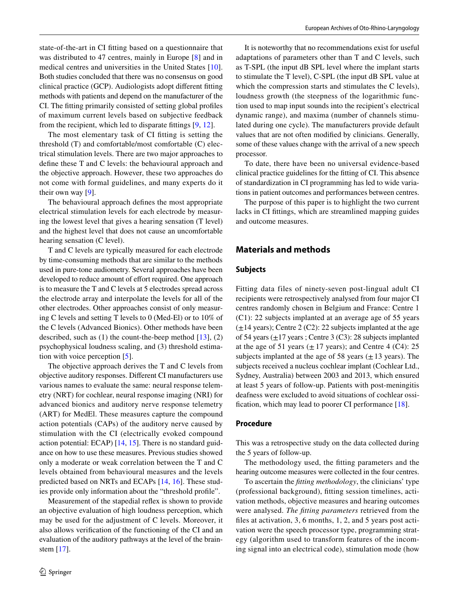state-of-the-art in CI ftting based on a questionnaire that was distributed to 47 centres, mainly in Europe [\[8](#page-7-8)] and in medical centres and universities in the United States [[10](#page-7-9)]. Both studies concluded that there was no consensus on good clinical practice (GCP). Audiologists adopt diferent ftting methods with patients and depend on the manufacturer of the CI. The ftting primarily consisted of setting global profles of maximum current levels based on subjective feedback from the recipient, which led to disparate fttings [\[9](#page-7-10), [12](#page-7-11)].

The most elementary task of CI ftting is setting the threshold (T) and comfortable/most comfortable (C) electrical stimulation levels. There are two major approaches to defne these T and C levels: the behavioural approach and the objective approach. However, these two approaches do not come with formal guidelines, and many experts do it their own way  $[9]$  $[9]$ .

The behavioural approach defnes the most appropriate electrical stimulation levels for each electrode by measuring the lowest level that gives a hearing sensation (T level) and the highest level that does not cause an uncomfortable hearing sensation (C level).

T and C levels are typically measured for each electrode by time-consuming methods that are similar to the methods used in pure-tone audiometry. Several approaches have been developed to reduce amount of effort required. One approach is to measure the T and C levels at 5 electrodes spread across the electrode array and interpolate the levels for all of the other electrodes. Other approaches consist of only measuring C levels and setting T levels to 0 (Med-El) or to 10% of the C levels (Advanced Bionics). Other methods have been described, such as  $(1)$  the count-the-beep method  $[13]$ ,  $(2)$ psychophysical loudness scaling, and (3) threshold estimation with voice perception [\[5](#page-7-4)].

The objective approach derives the T and C levels from objective auditory responses. Diferent CI manufacturers use various names to evaluate the same: neural response telemetry (NRT) for cochlear, neural response imaging (NRI) for advanced bionics and auditory nerve response telemetry (ART) for MedEl. These measures capture the compound action potentials (CAPs) of the auditory nerve caused by stimulation with the CI (electrically evoked compound action potential: ECAP) [\[14](#page-7-13), [15\]](#page-7-14). There is no standard guidance on how to use these measures. Previous studies showed only a moderate or weak correlation between the T and C levels obtained from behavioural measures and the levels predicted based on NRTs and ECAPs [\[14](#page-7-13), [16\]](#page-7-15). These studies provide only information about the "threshold profle".

Measurement of the stapedial refex is shown to provide an objective evaluation of high loudness perception, which may be used for the adjustment of C levels. Moreover, it also allows verifcation of the functioning of the CI and an evaluation of the auditory pathways at the level of the brainstem [[17\]](#page-7-16).

It is noteworthy that no recommendations exist for useful adaptations of parameters other than T and C levels, such as T-SPL (the input dB SPL level where the implant starts to stimulate the T level), C-SPL (the input dB SPL value at which the compression starts and stimulates the C levels), loudness growth (the steepness of the logarithmic function used to map input sounds into the recipient's electrical dynamic range), and maxima (number of channels stimulated during one cycle). The manufacturers provide default values that are not often modifed by clinicians. Generally, some of these values change with the arrival of a new speech processor.

To date, there have been no universal evidence-based clinical practice guidelines for the ftting of CI. This absence of standardization in CI programming has led to wide variations in patient outcomes and performances between centres.

The purpose of this paper is to highlight the two current lacks in CI fttings, which are streamlined mapping guides and outcome measures.

# **Materials and methods**

#### **Subjects**

Fitting data files of ninety-seven post-lingual adult CI recipients were retrospectively analysed from four major CI centres randomly chosen in Belgium and France: Centre 1 (C1): 22 subjects implanted at an average age of 55 years  $(\pm 14 \text{ years})$ ; Centre 2 (C2): 22 subjects implanted at the age of 54 years  $(\pm 17 \text{ years})$ ; Centre 3 (C3): 28 subjects implanted at the age of 51 years  $(\pm 17 \text{ years})$ ; and Centre 4 (C4): 25 subjects implanted at the age of 58 years  $(\pm 13 \text{ years})$ . The subjects received a nucleus cochlear implant (Cochlear Ltd., Sydney, Australia) between 2003 and 2013, which ensured at least 5 years of follow-up. Patients with post-meningitis deafness were excluded to avoid situations of cochlear ossifcation, which may lead to poorer CI performance [[18\]](#page-7-17).

#### **Procedure**

This was a retrospective study on the data collected during the 5 years of follow-up.

The methodology used, the ftting parameters and the hearing outcome measures were collected in the four centres.

To ascertain the *ftting methodology*, the clinicians' type (professional background), ftting session timelines, activation methods, objective measures and hearing outcomes were analysed. *The ftting parameters* retrieved from the fles at activation, 3, 6 months, 1, 2, and 5 years post activation were the speech processor type, programming strategy (algorithm used to transform features of the incoming signal into an electrical code), stimulation mode (how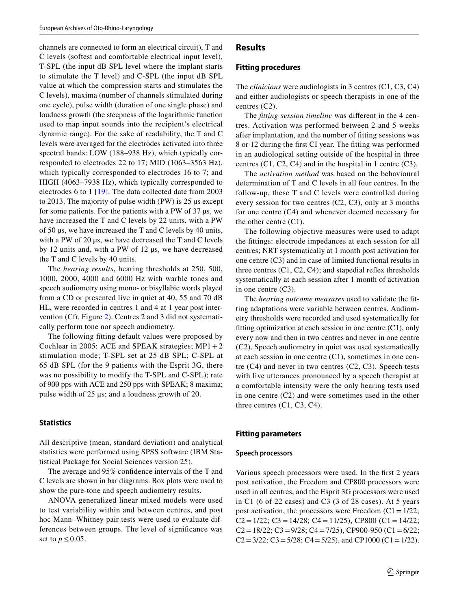channels are connected to form an electrical circuit), T and C levels (softest and comfortable electrical input level), T-SPL (the input dB SPL level where the implant starts to stimulate the T level) and C-SPL (the input dB SPL value at which the compression starts and stimulates the C levels), maxima (number of channels stimulated during one cycle), pulse width (duration of one single phase) and loudness growth (the steepness of the logarithmic function used to map input sounds into the recipient's electrical dynamic range). For the sake of readability, the T and C levels were averaged for the electrodes activated into three spectral bands: LOW (188–938 Hz), which typically corresponded to electrodes 22 to 17; MID (1063–3563 Hz), which typically corresponded to electrodes 16 to 7; and HIGH (4063–7938 Hz), which typically corresponded to electrodes 6 to 1 [\[19\]](#page-7-18). The data collected date from 2003 to 2013. The majority of pulse width (PW) is 25 µs except for some patients. For the patients with a PW of 37 µs, we have increased the T and C levels by 22 units, with a PW of 50 µs, we have increased the T and C levels by 40 units, with a PW of 20 µs, we have decreased the T and C levels by 12 units and, with a PW of 12 µs, we have decreased the T and C levels by 40 units.

The *hearing results*, hearing thresholds at 250, 500, 1000, 2000, 4000 and 6000 Hz with warble tones and speech audiometry using mono- or bisyllabic words played from a CD or presented live in quiet at 40, 55 and 70 dB HL, were recorded in centres 1 and 4 at 1 year post intervention (Cfr. Figure [2\)](#page-5-0). Centres 2 and 3 did not systematically perform tone nor speech audiometry.

The following ftting default values were proposed by Cochlear in 2005: ACE and SPEAK strategies;  $MP1 + 2$ stimulation mode; T-SPL set at 25 dB SPL; C-SPL at 65 dB SPL (for the 9 patients with the Esprit 3G, there was no possibility to modify the T-SPL and C-SPL); rate of 900 pps with ACE and 250 pps with SPEAK; 8 maxima; pulse width of 25 μs; and a loudness growth of 20.

#### **Statistics**

All descriptive (mean, standard deviation) and analytical statistics were performed using SPSS software (IBM Statistical Package for Social Sciences version 25).

The average and 95% confdence intervals of the T and C levels are shown in bar diagrams. Box plots were used to show the pure-tone and speech audiometry results.

ANOVA generalized linear mixed models were used to test variability within and between centres, and post hoc Mann–Whitney pair tests were used to evaluate differences between groups. The level of signifcance was set to  $p \leq 0.05$ .

# **Results**

#### **Fitting procedures**

The *clinicians* were audiologists in 3 centres (C1, C3, C4) and either audiologists or speech therapists in one of the centres (C2).

The *fitting session timeline* was different in the 4 centres. Activation was performed between 2 and 5 weeks after implantation, and the number of ftting sessions was 8 or 12 during the frst CI year. The ftting was performed in an audiological setting outside of the hospital in three centres  $(C1, C2, C4)$  and in the hospital in 1 centre  $(C3)$ .

The *activation method* was based on the behavioural determination of T and C levels in all four centres. In the follow-up, these T and C levels were controlled during every session for two centres (C2, C3), only at 3 months for one centre (C4) and whenever deemed necessary for the other centre (C1).

The following objective measures were used to adapt the fttings: electrode impedances at each session for all centres; NRT systematically at 1 month post activation for one centre (C3) and in case of limited functional results in three centres  $(C1, C2, C4)$ ; and stapedial reflex thresholds systematically at each session after 1 month of activation in one centre (C3).

The *hearing outcome measures* used to validate the ftting adaptations were variable between centres. Audiometry thresholds were recorded and used systematically for ftting optimization at each session in one centre (C1), only every now and then in two centres and never in one centre (C2). Speech audiometry in quiet was used systematically at each session in one centre (C1), sometimes in one centre (C4) and never in two centres (C2, C3). Speech tests with live utterances pronounced by a speech therapist at a comfortable intensity were the only hearing tests used in one centre (C2) and were sometimes used in the other three centres (C1, C3, C4).

#### **Fitting parameters**

#### **Speech processors**

Various speech processors were used. In the frst 2 years post activation, the Freedom and CP800 processors were used in all centres, and the Esprit 3G processors were used in C1 (6 of 22 cases) and C3 (3 of 28 cases). At 5 years post activation, the processors were Freedom  $(C1 = 1/22)$ ; C2 =  $1/22$ ; C3 =  $14/28$ ; C4 =  $11/25$ ), CP800 (C1 =  $14/22$ ;  $C2 = 18/22$ ;  $C3 = 9/28$ ;  $C4 = 7/25$ ), CP900-950 (C1 = 6/22;  $C2 = 3/22$ ;  $C3 = 5/28$ ;  $C4 = 5/25$ ), and CP1000 (C1 = 1/22).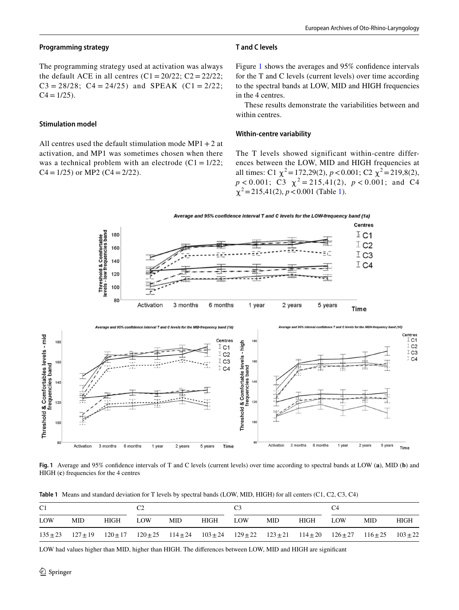# **Programming strategy**

The programming strategy used at activation was always the default ACE in all centres  $(C1 = 20/22; C2 = 22/22;$  $C3 = 28/28$ ;  $C4 = 24/25$ ) and SPEAK  $(C1 = 2/22)$ ;  $C4 = 1/25$ .

#### **Stimulation model**

All centres used the default stimulation mode  $MP1 + 2$  at activation, and MP1 was sometimes chosen when there was a technical problem with an electrode  $(C1 = 1/22)$ ;  $C4 = 1/25$  or MP2 ( $C4 = 2/22$ ).

### **T and C levels**

Figure [1](#page-3-0) shows the averages and 95% confdence intervals for the T and C levels (current levels) over time according to the spectral bands at LOW, MID and HIGH frequencies in the 4 centres.

These results demonstrate the variabilities between and within centres.

#### **Within‑centre variability**

The T levels showed significant within-centre differences between the LOW, MID and HIGH frequencies at all times: C1  $\chi^2$  = 172,29(2), *p* < 0.001; C2  $\chi^2$  = 219,8(2),  $p < 0.001$ ; C3  $\chi^2 = 215,41(2)$ ,  $p < 0.001$ ; and C4  $\chi^2$  = 215,41(2), *p* < 0.001 (Table [1\)](#page-3-1).



<span id="page-3-0"></span>**Fig. 1** Average and 95% confdence intervals of T and C levels (current levels) over time according to spectral bands at LOW (**a**), MID (**b**) and HIGH (**c**) frequencies for the 4 centres

<span id="page-3-1"></span>**Table 1** Means and standard deviation for T levels by spectral bands (LOW, MID, HIGH) for all centers (C1, C2, C3, C4)

| C1  |                                                                                                                                                 |      | Ω2  |     |      |     |            |             |      |            |      |
|-----|-------------------------------------------------------------------------------------------------------------------------------------------------|------|-----|-----|------|-----|------------|-------------|------|------------|------|
| LOW | MID.                                                                                                                                            | HIGH | LOW | MID | HIGH | LOW | <b>MID</b> | <b>HIGH</b> | LOW. | <b>MID</b> | HIGH |
|     | $135\pm 23$ $127\pm 19$ $120\pm 17$ $120\pm 25$ $114\pm 24$ $103\pm 24$ $129\pm 22$ $123\pm 21$ $114\pm 20$ $126\pm 27$ $116\pm 25$ $103\pm 22$ |      |     |     |      |     |            |             |      |            |      |

LOW had values higher than MID, higher than HIGH. The diferences between LOW, MID and HIGH are signifcant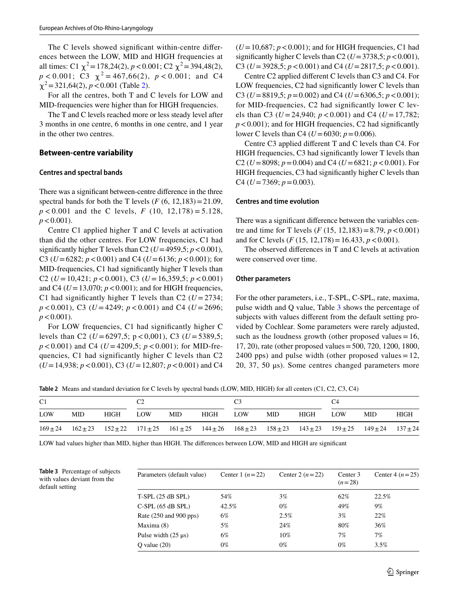The C levels showed signifcant within-centre diferences between the LOW, MID and HIGH frequencies at all times: C1  $\chi^2$  = 178,24(2), *p* < 0.001; C2  $\chi^2$  = 394,48(2),  $p < 0.001$ ; C3  $\chi^2 = 467,66(2)$ ,  $p < 0.001$ ; and C4  $\chi^2$  = 321,64([2\)](#page-4-0), *p* < 0.001 (Table 2).

For all the centres, both T and C levels for LOW and MID-frequencies were higher than for HIGH frequencies.

The T and C levels reached more or less steady level after 3 months in one centre, 6 months in one centre, and 1 year in the other two centres.

#### **Between‑centre variability**

#### **Centres and spectral bands**

There was a signifcant between-centre diference in the three spectral bands for both the T levels  $(F(6, 12, 183)=21.09$ , *p* < 0.001 and the C levels, *F* (10, 12,178) = 5.128,  $p < 0.001$ ).

Centre C1 applied higher T and C levels at activation than did the other centres. For LOW frequencies, C1 had significantly higher T levels than C2 ( $U=4959,5; p<0.001$ ), C3 (*U*=6282; *p*<0.001) and C4 (*U*=6136; *p*<0.001); for MID-frequencies, C1 had signifcantly higher T levels than C2 ( $U = 10,421$ ;  $p < 0.001$ ), C3 ( $U = 16,359,5$ ;  $p < 0.001$ ) and C4 ( $U=13,070$ ;  $p < 0.001$ ); and for HIGH frequencies, C1 had significantly higher T levels than C2  $(U = 2734)$ ;  $p < 0.001$ ), C3 (*U* = 4249;  $p < 0.001$ ) and C4 (*U* = 2696;  $p < 0.001$ ).

For LOW frequencies, C1 had signifcantly higher C levels than C2 ( $U = 6297,5$ ; p < 0,001), C3 ( $U = 5389,5$ ;  $p < 0.001$ ) and C4 (*U* = 4209,5;  $p < 0.001$ ); for MID-frequencies, C1 had significantly higher C levels than C2 (*U*=14,938; *p*<0.001), C3 (*U*=12,807; *p*<0.001) and C4

 $(U=10,687; p<0.001)$ ; and for HIGH frequencies, C1 had significantly higher C levels than C2 ( $U=3738,5; p<0.001$ ), C3 ( $U=3928,5; p<0.001$ ) and C4 ( $U=2817,5; p<0.001$ ).

Centre C2 applied diferent C levels than C3 and C4. For LOW frequencies, C2 had significantly lower C levels than C3 (*U*=8819,5; *p*=0.002) and C4 (*U*=6306,5; *p*<0.001); for MID-frequencies, C2 had signifcantly lower C levels than C3 ( $U = 24,940$ ;  $p < 0.001$ ) and C4 ( $U = 17,782$ ;  $p < 0.001$ ); and for HIGH frequencies, C2 had significantly lower C levels than C4 ( $U=6030$ ;  $p=0.006$ ).

Centre C3 applied diferent T and C levels than C4. For HIGH frequencies, C3 had signifcantly lower T levels than C2 ( $U=8098$ ;  $p=0.004$ ) and C4 ( $U=6821$ ;  $p < 0.001$ ). For HIGH frequencies, C3 had signifcantly higher C levels than C4 ( $U=7369$ ;  $p=0.003$ ).

### **Centres and time evolution**

There was a signifcant diference between the variables centre and time for T levels  $(F (15, 12, 183)) = 8.79, p < 0.001)$ and for C levels (*F* (15, 12,178)=16.433, *p*<0.001).

The observed diferences in T and C levels at activation were conserved over time.

#### **Other parameters**

For the other parameters, i.e., T-SPL, C-SPL, rate, maxima, pulse width and Q value, Table [3](#page-4-1) shows the percentage of subjects with values different from the default setting provided by Cochlear. Some parameters were rarely adjusted, such as the loudness growth (other proposed values  $=16$ , 17, 20), rate (other proposed values=500, 720, 1200, 1800, 2400 pps) and pulse width (other proposed values  $=12$ , 20, 37, 50 μs). Some centres changed parameters more

<span id="page-4-0"></span>**Table 2** Means and standard deviation for C levels by spectral bands (LOW, MID, HIGH) for all centers (C1, C2, C3, C4)

| C1  |                                                                                                                                                             |      |     |      |      |     |      |      | C4         |      |      |
|-----|-------------------------------------------------------------------------------------------------------------------------------------------------------------|------|-----|------|------|-----|------|------|------------|------|------|
| LOW | MID.                                                                                                                                                        | HIGH | LOW | MID. | HIGH | LOW | MID. | HIGH | <b>LOW</b> | MID. | HIGH |
|     | $169 \pm 24$ $162 \pm 23$ $152 \pm 22$ $171 \pm 25$ $161 \pm 25$ $144 \pm 26$ $168 \pm 23$ $158 \pm 23$ $143 \pm 23$ $159 \pm 25$ $149 \pm 24$ $137 \pm 24$ |      |     |      |      |     |      |      |            |      |      |

LOW had values higher than MID, higher than HIGH. The diferences between LOW, MID and HIGH are signifcant

<span id="page-4-1"></span>

|                 | <b>Table 3</b> Percentage of subjects |
|-----------------|---------------------------------------|
|                 | with values deviant from the          |
| default setting |                                       |

| Parameters (default value) | Center 1 $(n=22)$ | Center 2 $(n=22)$ | Center 3<br>$(n=28)$ | Center 4 $(n=25)$ |  |
|----------------------------|-------------------|-------------------|----------------------|-------------------|--|
| T-SPL (25 dB SPL)          | 54%               | $3\%$             | 62%                  | 22.5%             |  |
| $C-SPL (65 dB SPL)$        | 42.5%             | $0\%$             | 49%                  | $9\%$             |  |
| Rate (250 and 900 pps)     | 6%                | 2.5%              | 3%                   | 22%               |  |
| Maxima (8)                 | 5%                | 24%               | 80%                  | 36%               |  |
| Pulse width $(25 \mu s)$   | 6%                | $10\%$            | 7%                   | 7%                |  |
| O value $(20)$             | $0\%$             | $0\%$             | $0\%$                | $3.5\%$           |  |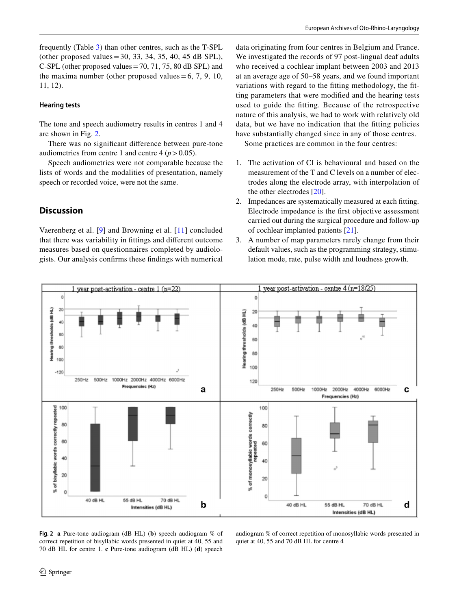### **Hearing tests**

The tone and speech audiometry results in centres 1 and 4 are shown in Fig. [2](#page-5-0).

There was no signifcant diference between pure-tone audiometries from centre 1 and centre  $4 (p > 0.05)$ .

Speech audiometries were not comparable because the lists of words and the modalities of presentation, namely speech or recorded voice, were not the same.

# **Discussion**

Vaerenberg et al. [[9\]](#page-7-10) and Browning et al. [[11](#page-7-7)] concluded that there was variability in fttings and diferent outcome measures based on questionnaires completed by audiologists. Our analysis confrms these fndings with numerical data originating from four centres in Belgium and France. We investigated the records of 97 post-lingual deaf adults who received a cochlear implant between 2003 and 2013 at an average age of 50–58 years, and we found important variations with regard to the ftting methodology, the ftting parameters that were modifed and the hearing tests used to guide the ftting. Because of the retrospective nature of this analysis, we had to work with relatively old data, but we have no indication that the ftting policies have substantially changed since in any of those centres.

Some practices are common in the four centres:

- 1. The activation of CI is behavioural and based on the measurement of the T and C levels on a number of electrodes along the electrode array, with interpolation of the other electrodes [[20](#page-7-19)].
- 2. Impedances are systematically measured at each ftting. Electrode impedance is the frst objective assessment carried out during the surgical procedure and follow-up of cochlear implanted patients [[21\]](#page-7-20).
- 3. A number of map parameters rarely change from their default values, such as the programming strategy, stimulation mode, rate, pulse width and loudness growth.



<span id="page-5-0"></span>**Fig. 2 a** Pure-tone audiogram (dB HL) (**b**) speech audiogram % of correct repetition of bisyllabic words presented in quiet at 40, 55 and 70 dB HL for centre 1. **c** Pure-tone audiogram (dB HL) (**d**) speech audiogram % of correct repetition of monosyllabic words presented in quiet at 40, 55 and 70 dB HL for centre 4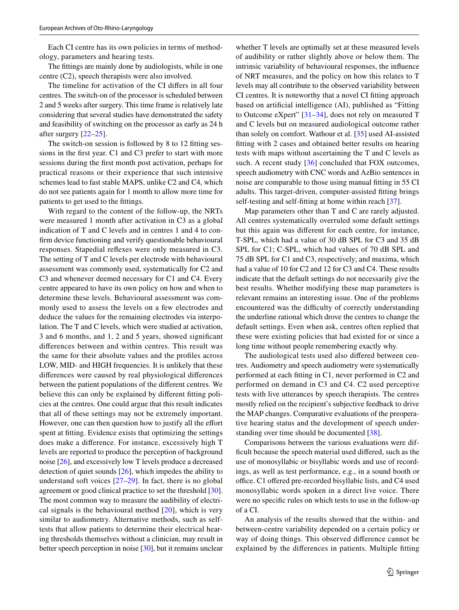Each CI centre has its own policies in terms of methodology, parameters and hearing tests.

The fttings are mainly done by audiologists, while in one centre (C2), speech therapists were also involved.

The timeline for activation of the CI difers in all four centres. The switch-on of the processor is scheduled between 2 and 5 weeks after surgery. This time frame is relatively late considering that several studies have demonstrated the safety and feasibility of switching on the processor as early as 24 h after surgery [\[22](#page-7-21)[–25](#page-7-22)].

The switch-on session is followed by 8 to 12 ftting sessions in the frst year. C1 and C3 prefer to start with more sessions during the frst month post activation, perhaps for practical reasons or their experience that such intensive schemes lead to fast stable MAPS, unlike C2 and C4, which do not see patients again for 1 month to allow more time for patients to get used to the fttings.

With regard to the content of the follow-up, the NRTs were measured 1 month after activation in C3 as a global indication of T and C levels and in centres 1 and 4 to confrm device functioning and verify questionable behavioural responses. Stapedial refexes were only measured in C3. The setting of T and C levels per electrode with behavioural assessment was commonly used, systematically for C2 and C3 and whenever deemed necessary for C1 and C4. Every centre appeared to have its own policy on how and when to determine these levels. Behavioural assessment was commonly used to assess the levels on a few electrodes and deduce the values for the remaining electrodes via interpolation. The T and C levels, which were studied at activation, 3 and 6 months, and 1, 2 and 5 years, showed signifcant diferences between and within centres. This result was the same for their absolute values and the profles across LOW, MID- and HIGH frequencies. It is unlikely that these diferences were caused by real physiological diferences between the patient populations of the diferent centres. We believe this can only be explained by diferent ftting policies at the centres. One could argue that this result indicates that all of these settings may not be extremely important. However, one can then question how to justify all the effort spent at ftting. Evidence exists that optimizing the settings does make a diference. For instance, excessively high T levels are reported to produce the perception of background noise [\[26](#page-7-23)], and excessively low T levels produce a decreased detection of quiet sounds [\[26](#page-7-23)], which impedes the ability to understand soft voices [[27](#page-7-24)[–29\]](#page-8-0). In fact, there is no global agreement or good clinical practice to set the threshold [\[30](#page-8-1)]. The most common way to measure the audibility of electrical signals is the behavioural method  $[20]$ , which is very similar to audiometry. Alternative methods, such as selftests that allow patients to determine their electrical hearing thresholds themselves without a clinician, may result in better speech perception in noise [[30](#page-8-1)], but it remains unclear whether T levels are optimally set at these measured levels of audibility or rather slightly above or below them. The intrinsic variability of behavioural responses, the infuence of NRT measures, and the policy on how this relates to T levels may all contribute to the observed variability between CI centres. It is noteworthy that a novel CI ftting approach based on artifcial intelligence (AI), published as "Fitting to Outcome eXpert" [[31–](#page-8-2)[34](#page-8-3)], does not rely on measured T and C levels but on measured audiological outcome rather than solely on comfort. Wathour et al. [[35\]](#page-8-4) used AI-assisted ftting with 2 cases and obtained better results on hearing tests with maps without ascertaining the T and C levels as such. A recent study [[36](#page-8-5)] concluded that FOX outcomes, speech audiometry with CNC words and AzBio sentences in noise are comparable to those using manual ftting in 55 CI adults. This target-driven, computer-assisted ftting brings self-testing and self-ftting at home within reach [[37\]](#page-8-6).

Map parameters other than T and C are rarely adjusted. All centres systematically overruled some default settings but this again was diferent for each centre, for instance, T-SPL, which had a value of 30 dB SPL for C3 and 35 dB SPL for C1; C-SPL, which had values of 70 dB SPL and 75 dB SPL for C1 and C3, respectively; and maxima, which had a value of 10 for C2 and 12 for C3 and C4. These results indicate that the default settings do not necessarily give the best results. Whether modifying these map parameters is relevant remains an interesting issue. One of the problems encountered was the difficulty of correctly understanding the underline rational which drove the centres to change the default settings. Even when ask, centres often replied that these were existing policies that had existed for or since a long time without people remembering exactly why.

The audiological tests used also difered between centres. Audiometry and speech audiometry were systematically performed at each ftting in C1, never performed in C2 and performed on demand in C3 and C4. C2 used perceptive tests with live utterances by speech therapists. The centres mostly relied on the recipient's subjective feedback to drive the MAP changes. Comparative evaluations of the preoperative hearing status and the development of speech understanding over time should be documented [[38\]](#page-8-7).

Comparisons between the various evaluations were difficult because the speech material used differed, such as the use of monosyllabic or bisyllabic words and use of recordings, as well as test performance, e.g., in a sound booth or office. C1 offered pre-recorded bisyllabic lists, and C4 used monosyllabic words spoken in a direct live voice. There were no specifc rules on which tests to use in the follow-up of a CI.

An analysis of the results showed that the within- and between-centre variability depended on a certain policy or way of doing things. This observed diference cannot be explained by the diferences in patients. Multiple ftting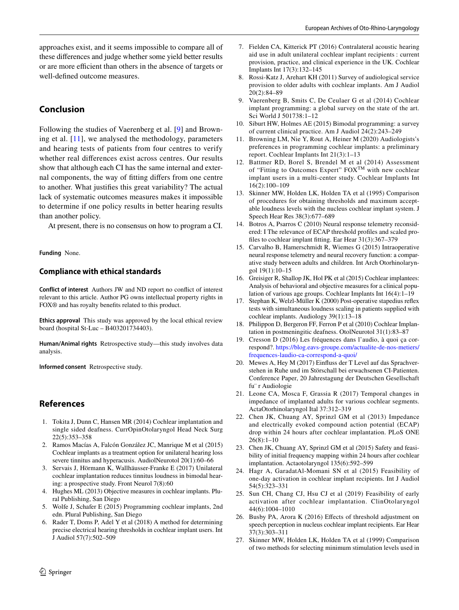approaches exist, and it seems impossible to compare all of these diferences and judge whether some yield better results or are more efficient than others in the absence of targets or well-defned outcome measures.

# **Conclusion**

Following the studies of Vaerenberg et al. [\[9\]](#page-7-10) and Browning et al. [[11](#page-7-7)], we analysed the methodology, parameters and hearing tests of patients from four centres to verify whether real diferences exist across centres. Our results show that although each CI has the same internal and external components, the way of ftting difers from one centre to another. What justifes this great variability? The actual lack of systematic outcomes measures makes it impossible to determine if one policy results in better hearing results than another policy.

At present, there is no consensus on how to program a CI.

**Funding** None.

# **Compliance with ethical standards**

**Conflict of interest** Authors JW and ND report no confict of interest relevant to this article. Author PG owns intellectual property rights in FOX® and has royalty benefts related to this product.

**Ethics approval** This study was approved by the local ethical review board (hospital St-Luc – B403201734403).

**Human/Animal rights** Retrospective study—this study involves data analysis.

**Informed consent** Retrospective study.

# **References**

- <span id="page-7-0"></span>1. Tokita J, Dunn C, Hansen MR (2014) Cochlear implantation and single sided deafness. CurrOpinOtolaryngol Head Neck Surg 22(5):353–358
- <span id="page-7-3"></span>2. Ramos Macías A, Falcón González JC, Manrique M et al (2015) Cochlear implants as a treatment option for unilateral hearing loss severe tinnitus and hyperacusis. AudiolNeurotol 20(1):60–66
- <span id="page-7-1"></span>3. Servais J, Hörmann K, Wallhäusser-Franke E (2017) Unilateral cochlear implantation reduces tinnitus loudness in bimodal hearing: a prospective study. Front Neurol 7(8):60
- <span id="page-7-2"></span>4. Hughes ML (2013) Objective measures in cochlear implants. Plural Publishing, San Diego
- <span id="page-7-4"></span>5. Wolfe J, Schafer E (2015) Programming cochlear implants, 2nd edn. Plural Publishing, San Diego
- <span id="page-7-5"></span>6. Rader T, Doms P, Adel Y et al (2018) A method for determining precise electrical hearing thresholds in cochlear implant users. Int J Audiol 57(7):502–509
- <span id="page-7-6"></span>7. Fielden CA, Kitterick PT (2016) Contralateral acoustic hearing aid use in adult unilateral cochlear implant recipients : current provision, practice, and clinical experience in the UK. Cochlear Implants Int 17(3):132–145
- <span id="page-7-8"></span>8. Rossi-Katz J, Arehart KH (2011) Survey of audiological service provision to older adults with cochlear implants. Am J Audiol 20(2):84–89
- <span id="page-7-10"></span>9. Vaerenberg B, Smits C, De Ceulaer G et al (2014) Cochlear implant programming: a global survey on the state of the art. Sci World J 501738:1–12
- <span id="page-7-9"></span>10. Siburt HW, Holmes AE (2015) Bimodal programming: a survey of current clinical practice. Am J Audiol 24(2):243–249
- <span id="page-7-7"></span>11. Browning LM, Nie Y, Rout A, Heiner M (2020) Audiologists's preferences in programming cochlear implants: a preliminary report. Cochlear Implants Int 21(3):1–13
- <span id="page-7-11"></span>12. Battmer RD, Borel S, Brendel M et al (2014) Assessment of "Fitting to Outcomes Expert" FOX<sup>TM</sup> with new cochlear implant users in a multi-center study. Cochlear Implants Int 16(2):100–109
- <span id="page-7-12"></span>13. Skinner MW, Holden LK, Holden TA et al (1995) Comparison of procedures for obtaining thresholds and maximum acceptable loudness levels with the nucleus cochlear implant system. J Speech Hear Res 38(3):677–689
- <span id="page-7-13"></span>14. Botros A, Psarros C (2010) Neural response telemetry reconsidered: I The relevance of ECAP threshold profles and scaled profles to cochlear implant ftting. Ear Hear 31(3):367–379
- <span id="page-7-14"></span>15. Carvalho B, Hamerschmidt R, Wiemes G (2015) Intraoperative neural response telemetry and neural recovery function: a comparative study between adults and children. Int Arch Otorhinolaryngol 19(1):10–15
- <span id="page-7-15"></span>16. Greisiger R, Shallop JK, Hol PK et al (2015) Cochlear implantees: Analysis of behavioral and objective measures for a clinical population of various age groups. Cochlear Implants Int 16(4):1–19
- <span id="page-7-16"></span>17. Stephan K, Welzl-Müller K (2000) Post-operative stapedius refex tests with simultaneous loudness scaling in patients supplied with cochlear implants. Audiology 39(1):13–18
- <span id="page-7-17"></span>18. Philippon D, Bergeron FF, Ferron P et al (2010) Cochlear Implantation in postmeningitic deafness. OtolNeurotol 31(1):83–87
- <span id="page-7-18"></span>19. Cresson D (2016) Les fréquences dans l'audio, à quoi ça correspond?. [https://blog.eavs-groupe.com/actualite-de-nos-metiers/](https://blog.eavs-groupe.com/actualite-de-nos-metiers/frequences-laudio-ca-correspond-a-quoi/) [frequences-laudio-ca-correspond-a-quoi/](https://blog.eavs-groupe.com/actualite-de-nos-metiers/frequences-laudio-ca-correspond-a-quoi/)
- <span id="page-7-19"></span>20. Mewes A, Hey M (2017) Einfuss der T Level auf das Sprachverstehen in Ruhe und im Störschall bei erwachsenen CI-Patienten. Conference Paper, 20 Jahrestagung der Deutschen Gesellschaft fu¨ r Audiologie
- <span id="page-7-20"></span>21. Leone CA, Mosca F, Grassia R (2017) Temporal changes in impedance of implanted adults for various cochlear segments. ActaOtorhinolaryngol Ital 37:312–319
- <span id="page-7-21"></span>22. Chen JK, Chuang AY, Sprinzl GM et al (2013) Impedance and electrically evoked compound action potential (ECAP) drop within 24 hours after cochlear implantation. PLoS ONE 26(8):1–10
- 23. Chen JK, Chuang AY, Sprinzl GM et al (2015) Safety and feasibility of initial frequency mapping within 24 hours after cochlear implantation. Actaotolaryngol 135(6):592–599
- 24. Hagr A, GaradatAl-Momani SN et al (2015) Feasibility of one-day activation in cochlear implant recipients. Int J Audiol 54(5):323–331
- <span id="page-7-22"></span>25. Sun CH, Chang CJ, Hsu CJ et al (2019) Feasibility of early activation after cochlear implantation. ClinOtolaryngol 44(6):1004–1010
- <span id="page-7-23"></span>26. Busby PA, Arora K (2016) Efects of threshold adjustment on speech perception in nucleus cochlear implant recipients. Ear Hear 37(3):303–311
- <span id="page-7-24"></span>27. Skinner MW, Holden LK, Holden TA et al (1999) Comparison of two methods for selecting minimum stimulation levels used in